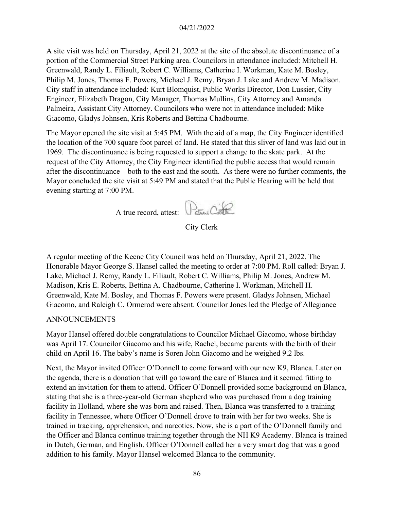#### 04/21/2022

A site visit was held on Thursday, April 21, 2022 at the site of the absolute discontinuance of a portion of the Commercial Street Parking area. Councilors in attendance included: Mitchell H. Greenwald, Randy L. Filiault, Robert C. Williams, Catherine I. Workman, Kate M. Bosley, Philip M. Jones, Thomas F. Powers, Michael J. Remy, Bryan J. Lake and Andrew M. Madison. City staff in attendance included: Kurt Blomquist, Public Works Director, Don Lussier, City Engineer, Elizabeth Dragon, City Manager, Thomas Mullins, City Attorney and Amanda Palmeira, Assistant City Attorney. Councilors who were not in attendance included: Mike Giacomo, Gladys Johnsen, Kris Roberts and Bettina Chadbourne.

The Mayor opened the site visit at 5:45 PM. With the aid of a map, the City Engineer identified the location of the 700 square foot parcel of land. He stated that this sliver of land was laid out in 1969. The discontinuance is being requested to support a change to the skate park. At the request of the City Attorney, the City Engineer identified the public access that would remain after the discontinuance – both to the east and the south. As there were no further comments, the Mayor concluded the site visit at 5:49 PM and stated that the Public Hearing will be held that evening starting at 7:00 PM.

A true record, attest: Canter Contra

City Clerk

A regular meeting of the Keene City Council was held on Thursday, April 21, 2022. The Honorable Mayor George S. Hansel called the meeting to order at 7:00 PM. Roll called: Bryan J. Lake, Michael J. Remy, Randy L. Filiault, Robert C. Williams, Philip M. Jones, Andrew M. Madison, Kris E. Roberts, Bettina A. Chadbourne, Catherine I. Workman, Mitchell H. Greenwald, Kate M. Bosley, and Thomas F. Powers were present. Gladys Johnsen, Michael Giacomo, and Raleigh C. Ormerod were absent. Councilor Jones led the Pledge of Allegiance

#### ANNOUNCEMENTS

Mayor Hansel offered double congratulations to Councilor Michael Giacomo, whose birthday was April 17. Councilor Giacomo and his wife, Rachel, became parents with the birth of their child on April 16. The baby's name is Soren John Giacomo and he weighed 9.2 lbs.

Next, the Mayor invited Officer O'Donnell to come forward with our new K9, Blanca. Later on the agenda, there is a donation that will go toward the care of Blanca and it seemed fitting to extend an invitation for them to attend. Officer O'Donnell provided some background on Blanca, stating that she is a three-year-old German shepherd who was purchased from a dog training facility in Holland, where she was born and raised. Then, Blanca was transferred to a training facility in Tennessee, where Officer O'Donnell drove to train with her for two weeks. She is trained in tracking, apprehension, and narcotics. Now, she is a part of the O'Donnell family and the Officer and Blanca continue training together through the NH K9 Academy. Blanca is trained in Dutch, German, and English. Officer O'Donnell called her a very smart dog that was a good addition to his family. Mayor Hansel welcomed Blanca to the community.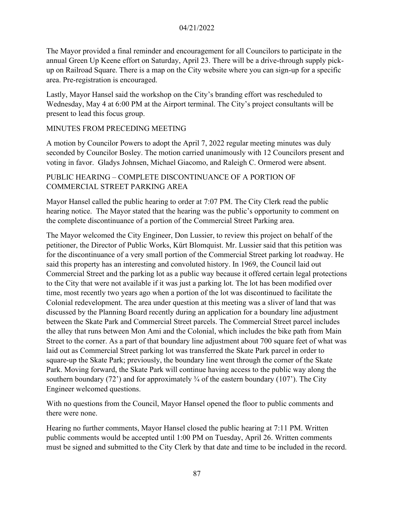The Mayor provided a final reminder and encouragement for all Councilors to participate in the annual Green Up Keene effort on Saturday, April 23. There will be a drive-through supply pickup on Railroad Square. There is a map on the City website where you can sign-up for a specific area. Pre-registration is encouraged.

Lastly, Mayor Hansel said the workshop on the City's branding effort was rescheduled to Wednesday, May 4 at 6:00 PM at the Airport terminal. The City's project consultants will be present to lead this focus group.

### MINUTES FROM PRECEDING MEETING

A motion by Councilor Powers to adopt the April 7, 2022 regular meeting minutes was duly seconded by Councilor Bosley. The motion carried unanimously with 12 Councilors present and voting in favor. Gladys Johnsen, Michael Giacomo, and Raleigh C. Ormerod were absent.

### PUBLIC HEARING – COMPLETE DISCONTINUANCE OF A PORTION OF COMMERCIAL STREET PARKING AREA

Mayor Hansel called the public hearing to order at 7:07 PM. The City Clerk read the public hearing notice. The Mayor stated that the hearing was the public's opportunity to comment on the complete discontinuance of a portion of the Commercial Street Parking area.

The Mayor welcomed the City Engineer, Don Lussier, to review this project on behalf of the petitioner, the Director of Public Works, Kürt Blomquist. Mr. Lussier said that this petition was for the discontinuance of a very small portion of the Commercial Street parking lot roadway. He said this property has an interesting and convoluted history. In 1969, the Council laid out Commercial Street and the parking lot as a public way because it offered certain legal protections to the City that were not available if it was just a parking lot. The lot has been modified over time, most recently two years ago when a portion of the lot was discontinued to facilitate the Colonial redevelopment. The area under question at this meeting was a sliver of land that was discussed by the Planning Board recently during an application for a boundary line adjustment between the Skate Park and Commercial Street parcels. The Commercial Street parcel includes the alley that runs between Mon Ami and the Colonial, which includes the bike path from Main Street to the corner. As a part of that boundary line adjustment about 700 square feet of what was laid out as Commercial Street parking lot was transferred the Skate Park parcel in order to square-up the Skate Park; previously, the boundary line went through the corner of the Skate Park. Moving forward, the Skate Park will continue having access to the public way along the southern boundary (72') and for approximately  $\frac{3}{4}$  of the eastern boundary (107'). The City Engineer welcomed questions.

With no questions from the Council, Mayor Hansel opened the floor to public comments and there were none.

Hearing no further comments, Mayor Hansel closed the public hearing at 7:11 PM. Written public comments would be accepted until 1:00 PM on Tuesday, April 26. Written comments must be signed and submitted to the City Clerk by that date and time to be included in the record.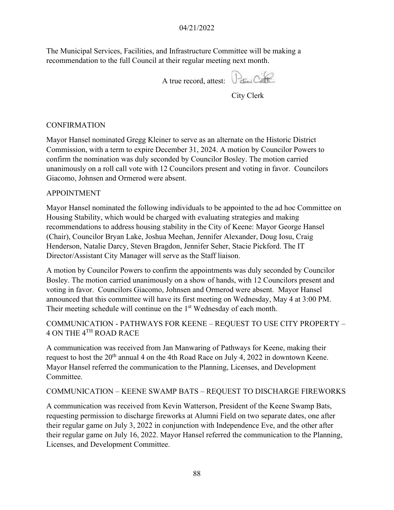The Municipal Services, Facilities, and Infrastructure Committee will be making a recommendation to the full Council at their regular meeting next month.

A true record, attest: Parmi Calle

City Clerk

#### CONFIRMATION

Mayor Hansel nominated Gregg Kleiner to serve as an alternate on the Historic District Commission, with a term to expire December 31, 2024. A motion by Councilor Powers to confirm the nomination was duly seconded by Councilor Bosley. The motion carried unanimously on a roll call vote with 12 Councilors present and voting in favor. Councilors Giacomo, Johnsen and Ormerod were absent.

#### APPOINTMENT

Mayor Hansel nominated the following individuals to be appointed to the ad hoc Committee on Housing Stability, which would be charged with evaluating strategies and making recommendations to address housing stability in the City of Keene: Mayor George Hansel (Chair), Councilor Bryan Lake, Joshua Meehan, Jennifer Alexander, Doug Iosu, Craig Henderson, Natalie Darcy, Steven Bragdon, Jennifer Seher, Stacie Pickford. The IT Director/Assistant City Manager will serve as the Staff liaison.

A motion by Councilor Powers to confirm the appointments was duly seconded by Councilor Bosley. The motion carried unanimously on a show of hands, with 12 Councilors present and voting in favor. Councilors Giacomo, Johnsen and Ormerod were absent. Mayor Hansel announced that this committee will have its first meeting on Wednesday, May 4 at 3:00 PM. Their meeting schedule will continue on the 1<sup>st</sup> Wednesday of each month.

# COMMUNICATION - PATHWAYS FOR KEENE – REQUEST TO USE CITY PROPERTY – 4 ON THE 4TH ROAD RACE

A communication was received from Jan Manwaring of Pathways for Keene, making their request to host the 20<sup>th</sup> annual 4 on the 4th Road Race on July 4, 2022 in downtown Keene. Mayor Hansel referred the communication to the Planning, Licenses, and Development Committee.

### COMMUNICATION – KEENE SWAMP BATS – REQUEST TO DISCHARGE FIREWORKS

A communication was received from Kevin Watterson, President of the Keene Swamp Bats, requesting permission to discharge fireworks at Alumni Field on two separate dates, one after their regular game on July 3, 2022 in conjunction with Independence Eve, and the other after their regular game on July 16, 2022. Mayor Hansel referred the communication to the Planning, Licenses, and Development Committee.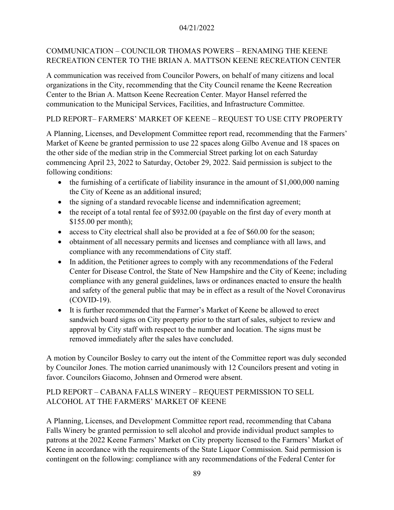### 04/21/2022

# COMMUNICATION – COUNCILOR THOMAS POWERS – RENAMING THE KEENE RECREATION CENTER TO THE BRIAN A. MATTSON KEENE RECREATION CENTER

A communication was received from Councilor Powers, on behalf of many citizens and local organizations in the City, recommending that the City Council rename the Keene Recreation Center to the Brian A. Mattson Keene Recreation Center. Mayor Hansel referred the communication to the Municipal Services, Facilities, and Infrastructure Committee.

# PLD REPORT– FARMERS' MARKET OF KEENE – REQUEST TO USE CITY PROPERTY

A Planning, Licenses, and Development Committee report read, recommending that the Farmers' Market of Keene be granted permission to use 22 spaces along Gilbo Avenue and 18 spaces on the other side of the median strip in the Commercial Street parking lot on each Saturday commencing April 23, 2022 to Saturday, October 29, 2022. Said permission is subject to the following conditions:

- the furnishing of a certificate of liability insurance in the amount of \$1,000,000 naming the City of Keene as an additional insured;
- the signing of a standard revocable license and indemnification agreement;
- the receipt of a total rental fee of \$932.00 (payable on the first day of every month at \$155.00 per month);
- access to City electrical shall also be provided at a fee of \$60.00 for the season;
- obtainment of all necessary permits and licenses and compliance with all laws, and compliance with any recommendations of City staff.
- In addition, the Petitioner agrees to comply with any recommendations of the Federal Center for Disease Control, the State of New Hampshire and the City of Keene; including compliance with any general guidelines, laws or ordinances enacted to ensure the health and safety of the general public that may be in effect as a result of the Novel Coronavirus (COVID-19).
- It is further recommended that the Farmer's Market of Keene be allowed to erect sandwich board signs on City property prior to the start of sales, subject to review and approval by City staff with respect to the number and location. The signs must be removed immediately after the sales have concluded.

A motion by Councilor Bosley to carry out the intent of the Committee report was duly seconded by Councilor Jones. The motion carried unanimously with 12 Councilors present and voting in favor. Councilors Giacomo, Johnsen and Ormerod were absent.

# PLD REPORT – CABANA FALLS WINERY – REQUEST PERMISSION TO SELL ALCOHOL AT THE FARMERS' MARKET OF KEENE

A Planning, Licenses, and Development Committee report read, recommending that Cabana Falls Winery be granted permission to sell alcohol and provide individual product samples to patrons at the 2022 Keene Farmers' Market on City property licensed to the Farmers' Market of Keene in accordance with the requirements of the State Liquor Commission. Said permission is contingent on the following: compliance with any recommendations of the Federal Center for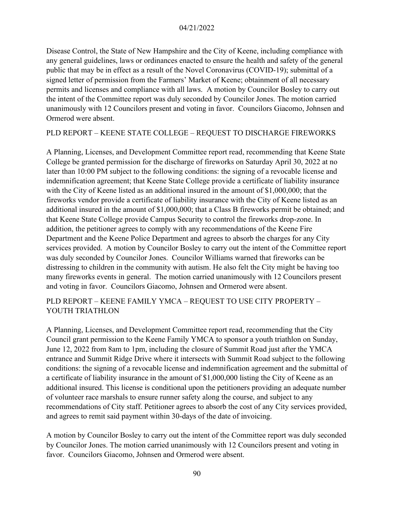#### 04/21/2022

Disease Control, the State of New Hampshire and the City of Keene, including compliance with any general guidelines, laws or ordinances enacted to ensure the health and safety of the general public that may be in effect as a result of the Novel Coronavirus (COVID-19); submittal of a signed letter of permission from the Farmers' Market of Keene; obtainment of all necessary permits and licenses and compliance with all laws. A motion by Councilor Bosley to carry out the intent of the Committee report was duly seconded by Councilor Jones. The motion carried unanimously with 12 Councilors present and voting in favor. Councilors Giacomo, Johnsen and Ormerod were absent.

### PLD REPORT – KEENE STATE COLLEGE – REQUEST TO DISCHARGE FIREWORKS

A Planning, Licenses, and Development Committee report read, recommending that Keene State College be granted permission for the discharge of fireworks on Saturday April 30, 2022 at no later than 10:00 PM subject to the following conditions: the signing of a revocable license and indemnification agreement; that Keene State College provide a certificate of liability insurance with the City of Keene listed as an additional insured in the amount of \$1,000,000; that the fireworks vendor provide a certificate of liability insurance with the City of Keene listed as an additional insured in the amount of \$1,000,000; that a Class B fireworks permit be obtained; and that Keene State College provide Campus Security to control the fireworks drop-zone. In addition, the petitioner agrees to comply with any recommendations of the Keene Fire Department and the Keene Police Department and agrees to absorb the charges for any City services provided. A motion by Councilor Bosley to carry out the intent of the Committee report was duly seconded by Councilor Jones. Councilor Williams warned that fireworks can be distressing to children in the community with autism. He also felt the City might be having too many fireworks events in general. The motion carried unanimously with 12 Councilors present and voting in favor. Councilors Giacomo, Johnsen and Ormerod were absent.

### PLD REPORT – KEENE FAMILY YMCA – REQUEST TO USE CITY PROPERTY – YOUTH TRIATHLON

A Planning, Licenses, and Development Committee report read, recommending that the City Council grant permission to the Keene Family YMCA to sponsor a youth triathlon on Sunday, June 12, 2022 from 8am to 1pm, including the closure of Summit Road just after the YMCA entrance and Summit Ridge Drive where it intersects with Summit Road subject to the following conditions: the signing of a revocable license and indemnification agreement and the submittal of a certificate of liability insurance in the amount of \$1,000,000 listing the City of Keene as an additional insured. This license is conditional upon the petitioners providing an adequate number of volunteer race marshals to ensure runner safety along the course, and subject to any recommendations of City staff. Petitioner agrees to absorb the cost of any City services provided, and agrees to remit said payment within 30-days of the date of invoicing.

A motion by Councilor Bosley to carry out the intent of the Committee report was duly seconded by Councilor Jones. The motion carried unanimously with 12 Councilors present and voting in favor. Councilors Giacomo, Johnsen and Ormerod were absent.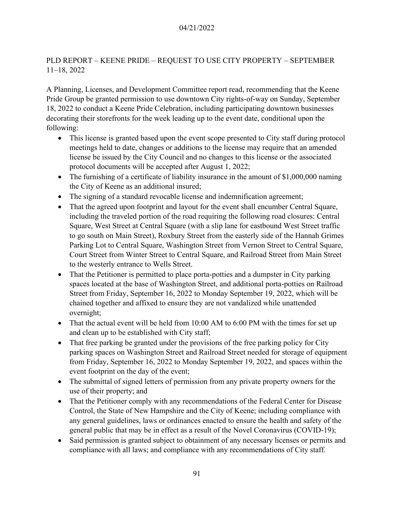# PLD REPORT – KEENE PRIDE – REQUEST TO USE CITY PROPERTY – SEPTEMBER 11–18, 2022

A Planning, Licenses, and Development Committee report read, recommending that the Keene Pride Group be granted permission to use downtown City rights-of-way on Sunday, September 18, 2022 to conduct a Keene Pride Celebration, including participating downtown businesses decorating their storefronts for the week leading up to the event date, conditional upon the following:

- This license is granted based upon the event scope presented to City staff during protocol meetings held to date, changes or additions to the license may require that an amended license be issued by the City Council and no changes to this license or the associated protocol documents will be accepted after August 1, 2022;
- The furnishing of a certificate of liability insurance in the amount of \$1,000,000 naming the City of Keene as an additional insured;
- The signing of a standard revocable license and indemnification agreement;
- That the agreed upon footprint and layout for the event shall encumber Central Square, including the traveled portion of the road requiring the following road closures: Central Square, West Street at Central Square (with a slip lane for eastbound West Street traffic to go south on Main Street), Roxbury Street from the easterly side of the Hannah Grimes Parking Lot to Central Square, Washington Street from Vernon Street to Central Square, Court Street from Winter Street to Central Square, and Railroad Street from Main Street to the westerly entrance to Wells Street.
- That the Petitioner is permitted to place porta-potties and a dumpster in City parking spaces located at the base of Washington Street, and additional porta-potties on Railroad Street from Friday, September 16, 2022 to Monday September 19, 2022, which will be chained together and affixed to ensure they are not vandalized while unattended overnight;
- That the actual event will be held from 10:00 AM to 6:00 PM with the times for set up and clean up to be established with City staff;
- That free parking be granted under the provisions of the free parking policy for City parking spaces on Washington Street and Railroad Street needed for storage of equipment from Friday, September 16, 2022 to Monday September 19, 2022, and spaces within the event footprint on the day of the event;
- The submittal of signed letters of permission from any private property owners for the use of their property; and
- That the Petitioner comply with any recommendations of the Federal Center for Disease Control, the State of New Hampshire and the City of Keene; including compliance with any general guidelines, laws or ordinances enacted to ensure the health and safety of the general public that may be in effect as a result of the Novel Coronavirus (COVID-19);
- Said permission is granted subject to obtainment of any necessary licenses or permits and compliance with all laws; and compliance with any recommendations of City staff.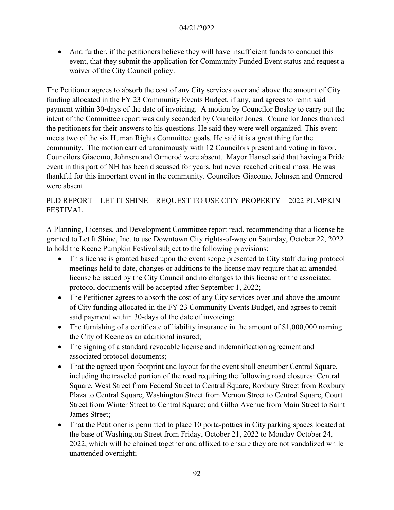• And further, if the petitioners believe they will have insufficient funds to conduct this event, that they submit the application for Community Funded Event status and request a waiver of the City Council policy.

The Petitioner agrees to absorb the cost of any City services over and above the amount of City funding allocated in the FY 23 Community Events Budget, if any, and agrees to remit said payment within 30-days of the date of invoicing. A motion by Councilor Bosley to carry out the intent of the Committee report was duly seconded by Councilor Jones. Councilor Jones thanked the petitioners for their answers to his questions. He said they were well organized. This event meets two of the six Human Rights Committee goals. He said it is a great thing for the community. The motion carried unanimously with 12 Councilors present and voting in favor. Councilors Giacomo, Johnsen and Ormerod were absent. Mayor Hansel said that having a Pride event in this part of NH has been discussed for years, but never reached critical mass. He was thankful for this important event in the community. Councilors Giacomo, Johnsen and Ormerod were absent.

### PLD REPORT – LET IT SHINE – REQUEST TO USE CITY PROPERTY – 2022 PUMPKIN FESTIVAL

A Planning, Licenses, and Development Committee report read, recommending that a license be granted to Let It Shine, Inc. to use Downtown City rights-of-way on Saturday, October 22, 2022 to hold the Keene Pumpkin Festival subject to the following provisions:

- This license is granted based upon the event scope presented to City staff during protocol meetings held to date, changes or additions to the license may require that an amended license be issued by the City Council and no changes to this license or the associated protocol documents will be accepted after September 1, 2022;
- The Petitioner agrees to absorb the cost of any City services over and above the amount of City funding allocated in the FY 23 Community Events Budget, and agrees to remit said payment within 30-days of the date of invoicing;
- The furnishing of a certificate of liability insurance in the amount of \$1,000,000 naming the City of Keene as an additional insured;
- The signing of a standard revocable license and indemnification agreement and associated protocol documents;
- That the agreed upon footprint and layout for the event shall encumber Central Square, including the traveled portion of the road requiring the following road closures: Central Square, West Street from Federal Street to Central Square, Roxbury Street from Roxbury Plaza to Central Square, Washington Street from Vernon Street to Central Square, Court Street from Winter Street to Central Square; and Gilbo Avenue from Main Street to Saint James Street;
- That the Petitioner is permitted to place 10 porta-potties in City parking spaces located at the base of Washington Street from Friday, October 21, 2022 to Monday October 24, 2022, which will be chained together and affixed to ensure they are not vandalized while unattended overnight;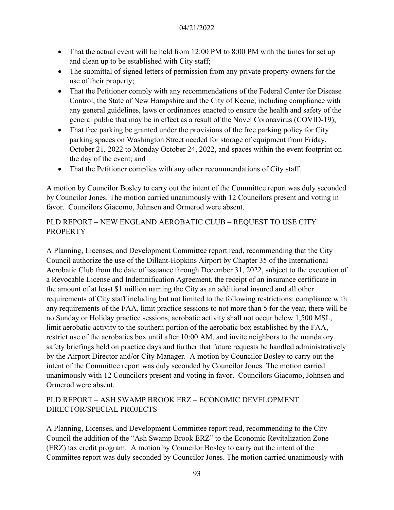- That the actual event will be held from 12:00 PM to 8:00 PM with the times for set up and clean up to be established with City staff;
- The submittal of signed letters of permission from any private property owners for the use of their property;
- That the Petitioner comply with any recommendations of the Federal Center for Disease Control, the State of New Hampshire and the City of Keene; including compliance with any general guidelines, laws or ordinances enacted to ensure the health and safety of the general public that may be in effect as a result of the Novel Coronavirus (COVID-19);
- That free parking be granted under the provisions of the free parking policy for City parking spaces on Washington Street needed for storage of equipment from Friday, October 21, 2022 to Monday October 24, 2022, and spaces within the event footprint on the day of the event; and
- That the Petitioner complies with any other recommendations of City staff.

A motion by Councilor Bosley to carry out the intent of the Committee report was duly seconded by Councilor Jones. The motion carried unanimously with 12 Councilors present and voting in favor. Councilors Giacomo, Johnsen and Ormerod were absent.

### PLD REPORT – NEW ENGLAND AEROBATIC CLUB – REQUEST TO USE CITY **PROPERTY**

A Planning, Licenses, and Development Committee report read, recommending that the City Council authorize the use of the Dillant-Hopkins Airport by Chapter 35 of the International Aerobatic Club from the date of issuance through December 31, 2022, subject to the execution of a Revocable License and Indemnification Agreement, the receipt of an insurance certificate in the amount of at least \$1 million naming the City as an additional insured and all other requirements of City staff including but not limited to the following restrictions: compliance with any requirements of the FAA, limit practice sessions to not more than 5 for the year, there will be no Sunday or Holiday practice sessions, aerobatic activity shall not occur below 1,500 MSL, limit aerobatic activity to the southern portion of the aerobatic box established by the FAA, restrict use of the aerobatics box until after 10:00 AM, and invite neighbors to the mandatory safety briefings held on practice days and further that future requests be handled administratively by the Airport Director and/or City Manager. A motion by Councilor Bosley to carry out the intent of the Committee report was duly seconded by Councilor Jones. The motion carried unanimously with 12 Councilors present and voting in favor. Councilors Giacomo, Johnsen and Ormerod were absent.

### PLD REPORT – ASH SWAMP BROOK ERZ – ECONOMIC DEVELOPMENT DIRECTOR/SPECIAL PROJECTS

A Planning, Licenses, and Development Committee report read, recommending to the City Council the addition of the "Ash Swamp Brook ERZ" to the Economic Revitalization Zone (ERZ) tax credit program. A motion by Councilor Bosley to carry out the intent of the Committee report was duly seconded by Councilor Jones. The motion carried unanimously with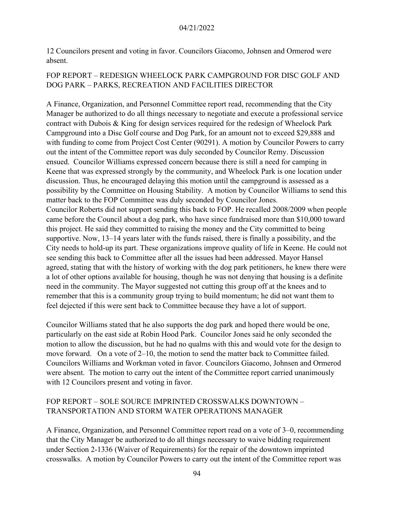12 Councilors present and voting in favor. Councilors Giacomo, Johnsen and Ormerod were absent.

### FOP REPORT – REDESIGN WHEELOCK PARK CAMPGROUND FOR DISC GOLF AND DOG PARK – PARKS, RECREATION AND FACILITIES DIRECTOR

A Finance, Organization, and Personnel Committee report read, recommending that the City Manager be authorized to do all things necessary to negotiate and execute a professional service contract with Dubois & King for design services required for the redesign of Wheelock Park Campground into a Disc Golf course and Dog Park, for an amount not to exceed \$29,888 and with funding to come from Project Cost Center (90291). A motion by Councilor Powers to carry out the intent of the Committee report was duly seconded by Councilor Remy. Discussion ensued. Councilor Williams expressed concern because there is still a need for camping in Keene that was expressed strongly by the community, and Wheelock Park is one location under discussion. Thus, he encouraged delaying this motion until the campground is assessed as a possibility by the Committee on Housing Stability. A motion by Councilor Williams to send this matter back to the FOP Committee was duly seconded by Councilor Jones. Councilor Roberts did not support sending this back to FOP. He recalled 2008/2009 when people came before the Council about a dog park, who have since fundraised more than \$10,000 toward this project. He said they committed to raising the money and the City committed to being supportive. Now, 13–14 years later with the funds raised, there is finally a possibility, and the City needs to hold-up its part. These organizations improve quality of life in Keene. He could not see sending this back to Committee after all the issues had been addressed. Mayor Hansel agreed, stating that with the history of working with the dog park petitioners, he knew there were a lot of other options available for housing, though he was not denying that housing is a definite need in the community. The Mayor suggested not cutting this group off at the knees and to remember that this is a community group trying to build momentum; he did not want them to feel dejected if this were sent back to Committee because they have a lot of support.

Councilor Williams stated that he also supports the dog park and hoped there would be one, particularly on the east side at Robin Hood Park. Councilor Jones said he only seconded the motion to allow the discussion, but he had no qualms with this and would vote for the design to move forward. On a vote of 2–10, the motion to send the matter back to Committee failed. Councilors Williams and Workman voted in favor. Councilors Giacomo, Johnsen and Ormerod were absent. The motion to carry out the intent of the Committee report carried unanimously with 12 Councilors present and voting in favor.

# FOP REPORT – SOLE SOURCE IMPRINTED CROSSWALKS DOWNTOWN – TRANSPORTATION AND STORM WATER OPERATIONS MANAGER

A Finance, Organization, and Personnel Committee report read on a vote of 3–0, recommending that the City Manager be authorized to do all things necessary to waive bidding requirement under Section 2-1336 (Waiver of Requirements) for the repair of the downtown imprinted crosswalks. A motion by Councilor Powers to carry out the intent of the Committee report was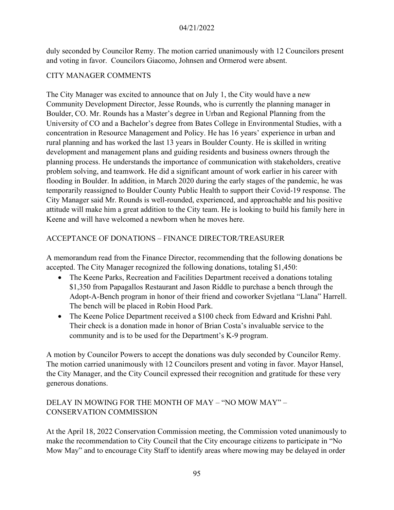duly seconded by Councilor Remy. The motion carried unanimously with 12 Councilors present and voting in favor. Councilors Giacomo, Johnsen and Ormerod were absent.

### CITY MANAGER COMMENTS

The City Manager was excited to announce that on July 1, the City would have a new Community Development Director, Jesse Rounds, who is currently the planning manager in Boulder, CO. Mr. Rounds has a Master's degree in Urban and Regional Planning from the University of CO and a Bachelor's degree from Bates College in Environmental Studies, with a concentration in Resource Management and Policy. He has 16 years' experience in urban and rural planning and has worked the last 13 years in Boulder County. He is skilled in writing development and management plans and guiding residents and business owners through the planning process. He understands the importance of communication with stakeholders, creative problem solving, and teamwork. He did a significant amount of work earlier in his career with flooding in Boulder. In addition, in March 2020 during the early stages of the pandemic, he was temporarily reassigned to Boulder County Public Health to support their Covid-19 response. The City Manager said Mr. Rounds is well-rounded, experienced, and approachable and his positive attitude will make him a great addition to the City team. He is looking to build his family here in Keene and will have welcomed a newborn when he moves here.

### ACCEPTANCE OF DONATIONS – FINANCE DIRECTOR/TREASURER

A memorandum read from the Finance Director, recommending that the following donations be accepted. The City Manager recognized the following donations, totaling \$1,450:

- The Keene Parks, Recreation and Facilities Department received a donations totaling \$1,350 from Papagallos Restaurant and Jason Riddle to purchase a bench through the Adopt-A-Bench program in honor of their friend and coworker Svjetlana "Llana" Harrell. The bench will be placed in Robin Hood Park.
- The Keene Police Department received a \$100 check from Edward and Krishni Pahl. Their check is a donation made in honor of Brian Costa's invaluable service to the community and is to be used for the Department's K-9 program.

A motion by Councilor Powers to accept the donations was duly seconded by Councilor Remy. The motion carried unanimously with 12 Councilors present and voting in favor. Mayor Hansel, the City Manager, and the City Council expressed their recognition and gratitude for these very generous donations.

# DELAY IN MOWING FOR THE MONTH OF MAY – "NO MOW MAY" – CONSERVATION COMMISSION

At the April 18, 2022 Conservation Commission meeting, the Commission voted unanimously to make the recommendation to City Council that the City encourage citizens to participate in "No Mow May" and to encourage City Staff to identify areas where mowing may be delayed in order